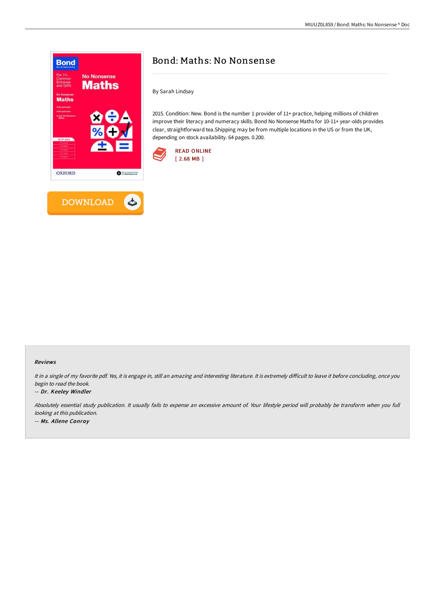

**DOWNLOAD** 

 $\triangle$ 

# Bond: Maths: No Nonsense

By Sarah Lindsay

2015. Condition: New. Bond is the number 1 provider of 11+ practice, helping millions of children improve their literacy and numeracy skills. Bond No Nonsense Maths for 10-11+ year-olds provides clear, straightforward tea.Shipping may be from multiple locations in the US or from the UK, depending on stock availability. 64 pages. 0.200.





It in a single of my favorite pdf. Yes, it is engage in, still an amazing and interesting literature. It is extremely difficult to leave it before concluding, once you begin to read the book.

#### -- Dr. Keeley Windler

Absolutely essential study publication. It usually fails to expense an excessive amount of. Your lifestyle period will probably be transform when you full looking at this publication. -- Ms. Allene Conroy